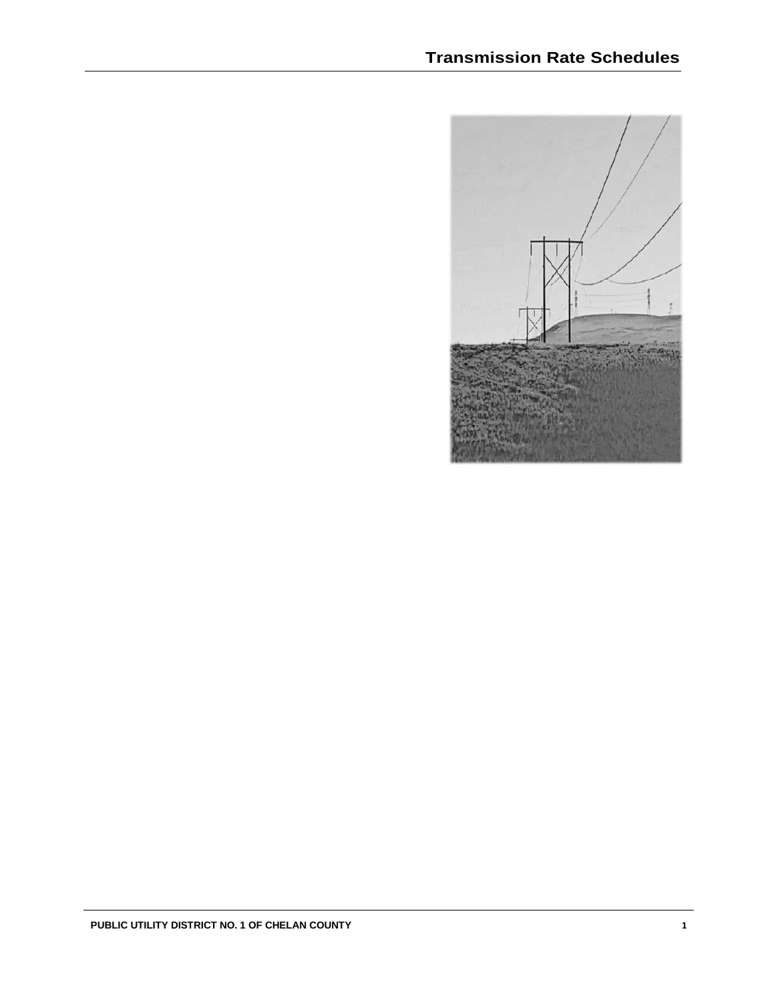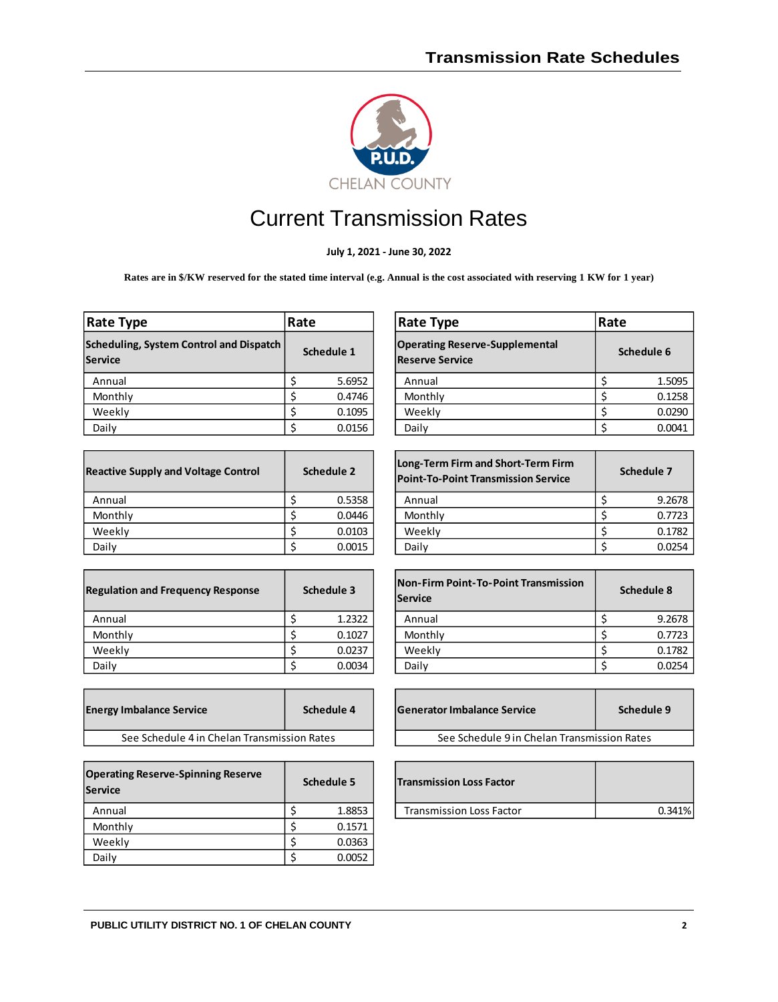

# Current Transmission Rates

**July 1, 2021 - June 30, 2022**

Rates are in \$/KW reserved for the stated time interval (e.g. Annual is the cost associated with reserving 1 KW for 1 year)

| Rate Type                                          | Rate       |  | <b>Rate Type</b>                                                | Rate      |
|----------------------------------------------------|------------|--|-----------------------------------------------------------------|-----------|
| Scheduling, System Control and Dispatch<br>Service | Schedule 1 |  | <b>Operating Reserve-Supplemental</b><br><b>Reserve Service</b> | <b>Sc</b> |
| Annual                                             | 5.6952     |  | Annual                                                          |           |
| Monthly                                            | 0.4746     |  | Monthly                                                         |           |
| Weekly                                             | 0.1095     |  | Weekly                                                          |           |
| Daily                                              | 0.0156     |  | Daily                                                           |           |

| <b>Reactive Supply and Voltage Control</b> | Schedule 2 | Long-Term Firm and Short-Term Firm<br><b>Point-To-Point Transmission Service</b> |
|--------------------------------------------|------------|----------------------------------------------------------------------------------|
| Annual                                     | 0.5358     | Annual                                                                           |
| Monthly                                    | 0.0446     | Monthly                                                                          |
| Weekly                                     | 0.0103     | Weekly                                                                           |
| Daily                                      | 0.0015     | Daily                                                                            |

| <b>Regulation and Frequency Response</b> | Schedule 3 | <b>Non-Firm Point-To-Point Transmission</b><br><b>Service</b> |
|------------------------------------------|------------|---------------------------------------------------------------|
| Annual                                   | 1.2322     | Annual                                                        |
| Monthly                                  | 0.1027     | Monthly                                                       |
| Weekly                                   | 0.0237     | Weekly                                                        |
| Daily                                    | 0.0034     | Daily                                                         |

| <b>Energy Imbalance Service</b>             | Schedule 4 | <b>Generator Imbalance Service</b>          | Schedule 9 |
|---------------------------------------------|------------|---------------------------------------------|------------|
| See Schedule 4 in Chelan Transmission Rates |            | See Schedule 9 in Chelan Transmission Rates |            |

| <b>Operating Reserve-Spinning Reserve</b><br><b>Service</b> | Schedule 5 |        |  |  |
|-------------------------------------------------------------|------------|--------|--|--|
| Annual                                                      |            | 1.8853 |  |  |
| Monthly                                                     |            | 0.1571 |  |  |
| Weekly                                                      |            | 0.0363 |  |  |
| Daily                                                       |            | 0.0052 |  |  |

| ate Type                                           | Rate |            |  | <b>Rate Type</b>                                                | Rate |            |
|----------------------------------------------------|------|------------|--|-----------------------------------------------------------------|------|------------|
| cheduling, System Control and Dispatch  <br>ervice |      | Schedule 1 |  | <b>Operating Reserve-Supplemental</b><br><b>Reserve Service</b> |      | Schedule 6 |
| Annual                                             |      | 5.6952     |  | Annual                                                          |      | 1.5095     |
| Monthly                                            |      | 0.4746     |  | Monthly                                                         |      | 0.1258     |
| Weekly                                             |      | 0.1095     |  | Weekly                                                          |      | 0.0290     |
| Daily                                              |      | 0.0156     |  | Daily                                                           |      | 0.0041     |

| eactive Supply and Voltage Control | Schedule 2 |        | Long-Term Firm and Short-Term Firm<br><b>Point-To-Point Transmission Service</b> | Schedule 7 |
|------------------------------------|------------|--------|----------------------------------------------------------------------------------|------------|
| Annual                             |            | 0.5358 | Annual                                                                           | 9.2678     |
| Monthly                            |            | 0.0446 | Monthly                                                                          | 0.7723     |
| Weeklv                             |            | 0.0103 | Weekly                                                                           | 0.1782     |
| Daily                              |            | 0.0015 | Daily                                                                            | 0.0254     |

| egulation and Frequency Response | Schedule 3 |        | <b>Non-Firm Point-To-Point Transmission</b><br><b>Service</b> |  | Schedule 8 |  |
|----------------------------------|------------|--------|---------------------------------------------------------------|--|------------|--|
| Annual                           |            | 1.2322 | Annual                                                        |  | 9.2678     |  |
| Monthly                          |            | 0.1027 | Monthly                                                       |  | 0.7723     |  |
| Weekly                           |            | 0.0237 | Weekly                                                        |  | 0.1782     |  |
| Daily                            |            | 0.0034 | Daily                                                         |  | 0.0254     |  |

| <b>Imbalance Service</b>                    | Schedule 4 |  | <b>Generator Imbalance Service</b>          | Schedule 9 |
|---------------------------------------------|------------|--|---------------------------------------------|------------|
| See Schedule 4 in Chelan Transmission Rates |            |  | See Schedule 9 in Chelan Transmission Rates |            |

| perating Reserve-Spinning Reserve<br>ervice | Schedule 5 | <b>Transmission Loss Factor</b> |        |
|---------------------------------------------|------------|---------------------------------|--------|
| Annual                                      | 1.8853     | <b>Transmission Loss Factor</b> | 0.341% |
|                                             |            |                                 |        |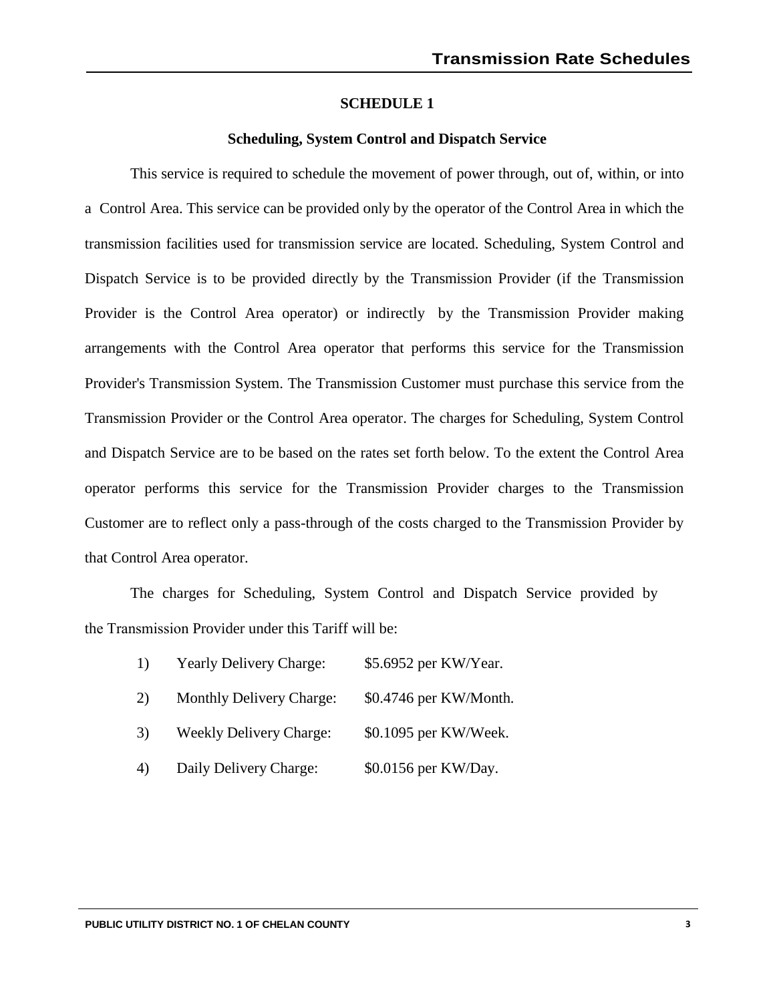# **Scheduling, System Control and Dispatch Service**

This service is required to schedule the movement of power through, out of, within, or into a Control Area. This service can be provided only by the operator of the Control Area in which the transmission facilities used for transmission service are located. Scheduling, System Control and Dispatch Service is to be provided directly by the Transmission Provider (if the Transmission Provider is the Control Area operator) or indirectly by the Transmission Provider making arrangements with the Control Area operator that performs this service for the Transmission Provider's Transmission System. The Transmission Customer must purchase this service from the Transmission Provider or the Control Area operator. The charges for Scheduling, System Control and Dispatch Service are to be based on the rates set forth below. To the extent the Control Area operator performs this service for the Transmission Provider charges to the Transmission Customer are to reflect only a pass-through of the costs charged to the Transmission Provider by that Control Area operator.

The charges for Scheduling, System Control and Dispatch Service provided by the Transmission Provider under this Tariff will be:

| 1)  | <b>Yearly Delivery Charge:</b>  | \$5.6952 per KW/Year.  |
|-----|---------------------------------|------------------------|
| (2) | <b>Monthly Delivery Charge:</b> | \$0.4746 per KW/Month. |

- 3) Weekly Delivery Charge: \$0.1095 per KW/Week.
- 4) Daily Delivery Charge: \$0.0156 per KW/Day.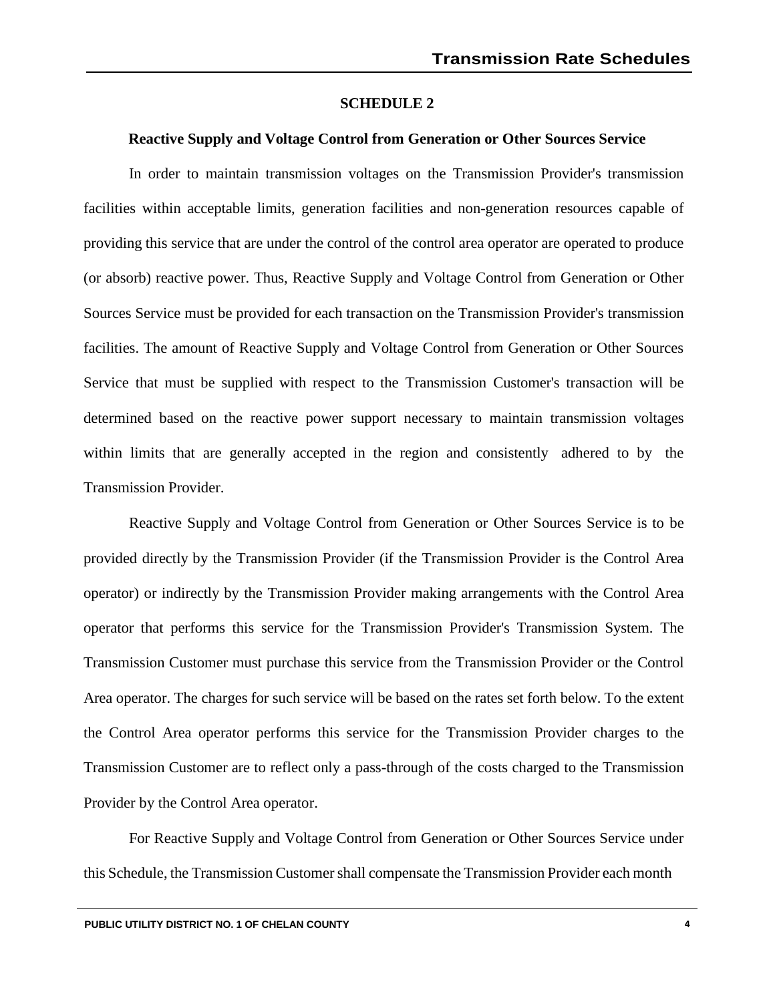## **Reactive Supply and Voltage Control from Generation or Other Sources Service**

In order to maintain transmission voltages on the Transmission Provider's transmission facilities within acceptable limits, generation facilities and non-generation resources capable of providing this service that are under the control of the control area operator are operated to produce (or absorb) reactive power. Thus, Reactive Supply and Voltage Control from Generation or Other Sources Service must be provided for each transaction on the Transmission Provider's transmission facilities. The amount of Reactive Supply and Voltage Control from Generation or Other Sources Service that must be supplied with respect to the Transmission Customer's transaction will be determined based on the reactive power support necessary to maintain transmission voltages within limits that are generally accepted in the region and consistently adhered to by the Transmission Provider.

Reactive Supply and Voltage Control from Generation or Other Sources Service is to be provided directly by the Transmission Provider (if the Transmission Provider is the Control Area operator) or indirectly by the Transmission Provider making arrangements with the Control Area operator that performs this service for the Transmission Provider's Transmission System. The Transmission Customer must purchase this service from the Transmission Provider or the Control Area operator. The charges for such service will be based on the rates set forth below. To the extent the Control Area operator performs this service for the Transmission Provider charges to the Transmission Customer are to reflect only a pass-through of the costs charged to the Transmission Provider by the Control Area operator.

For Reactive Supply and Voltage Control from Generation or Other Sources Service under this Schedule, the Transmission Customer shall compensate the Transmission Provider each month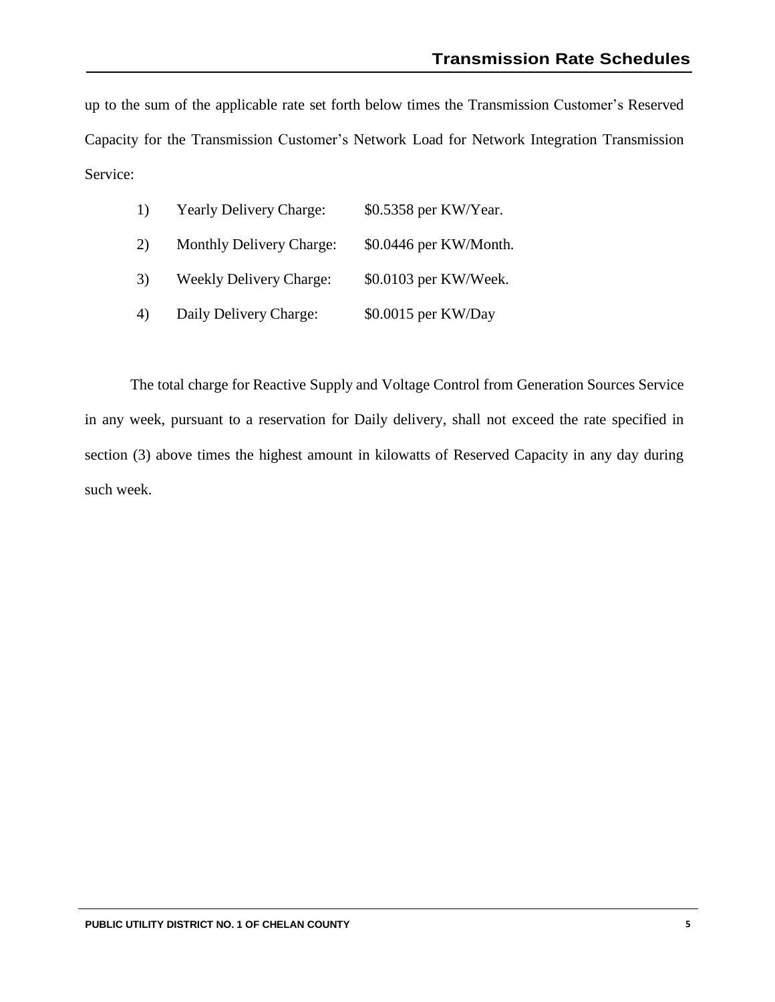up to the sum of the applicable rate set forth below times the Transmission Customer's Reserved Capacity for the Transmission Customer's Network Load for Network Integration Transmission Service:

| 1) | <b>Yearly Delivery Charge:</b>  | \$0.5358 per KW/Year.  |
|----|---------------------------------|------------------------|
| 2) | <b>Monthly Delivery Charge:</b> | \$0.0446 per KW/Month. |
| 3) | <b>Weekly Delivery Charge:</b>  | \$0.0103 per KW/Week.  |
| 4) | Daily Delivery Charge:          | \$0.0015 per KW/Day    |

The total charge for Reactive Supply and Voltage Control from Generation Sources Service in any week, pursuant to a reservation for Daily delivery, shall not exceed the rate specified in section (3) above times the highest amount in kilowatts of Reserved Capacity in any day during such week.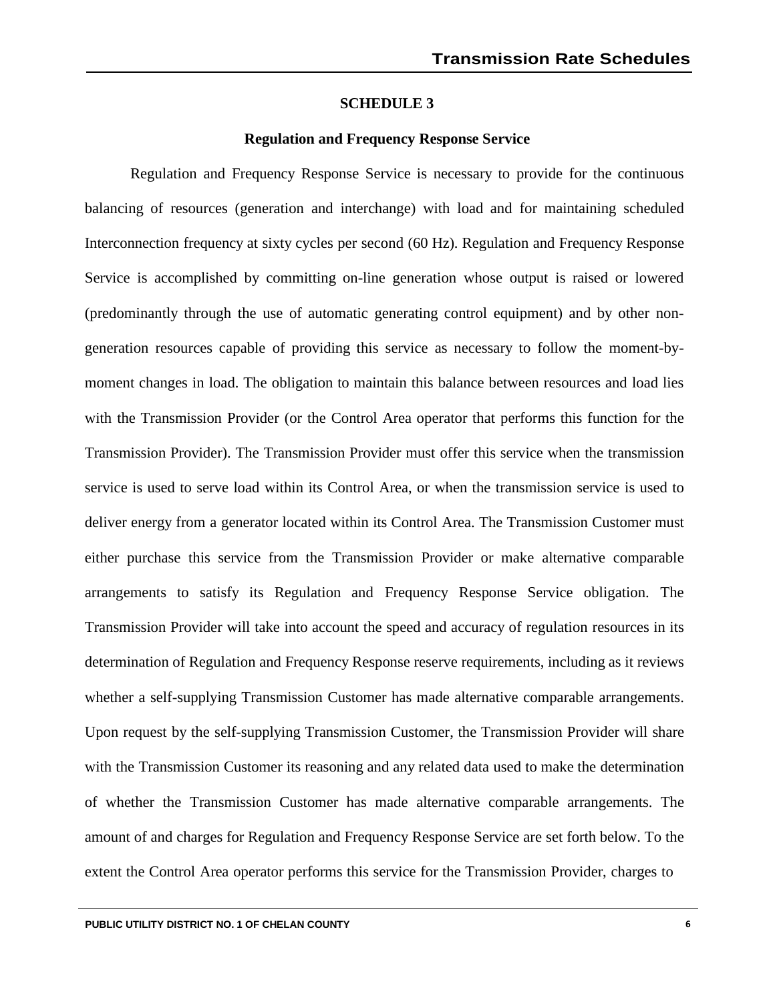# **Regulation and Frequency Response Service**

Regulation and Frequency Response Service is necessary to provide for the continuous balancing of resources (generation and interchange) with load and for maintaining scheduled Interconnection frequency at sixty cycles per second (60 Hz). Regulation and Frequency Response Service is accomplished by committing on-line generation whose output is raised or lowered (predominantly through the use of automatic generating control equipment) and by other nongeneration resources capable of providing this service as necessary to follow the moment-bymoment changes in load. The obligation to maintain this balance between resources and load lies with the Transmission Provider (or the Control Area operator that performs this function for the Transmission Provider). The Transmission Provider must offer this service when the transmission service is used to serve load within its Control Area, or when the transmission service is used to deliver energy from a generator located within its Control Area. The Transmission Customer must either purchase this service from the Transmission Provider or make alternative comparable arrangements to satisfy its Regulation and Frequency Response Service obligation. The Transmission Provider will take into account the speed and accuracy of regulation resources in its determination of Regulation and Frequency Response reserve requirements, including as it reviews whether a self-supplying Transmission Customer has made alternative comparable arrangements. Upon request by the self-supplying Transmission Customer, the Transmission Provider will share with the Transmission Customer its reasoning and any related data used to make the determination of whether the Transmission Customer has made alternative comparable arrangements. The amount of and charges for Regulation and Frequency Response Service are set forth below. To the extent the Control Area operator performs this service for the Transmission Provider, charges to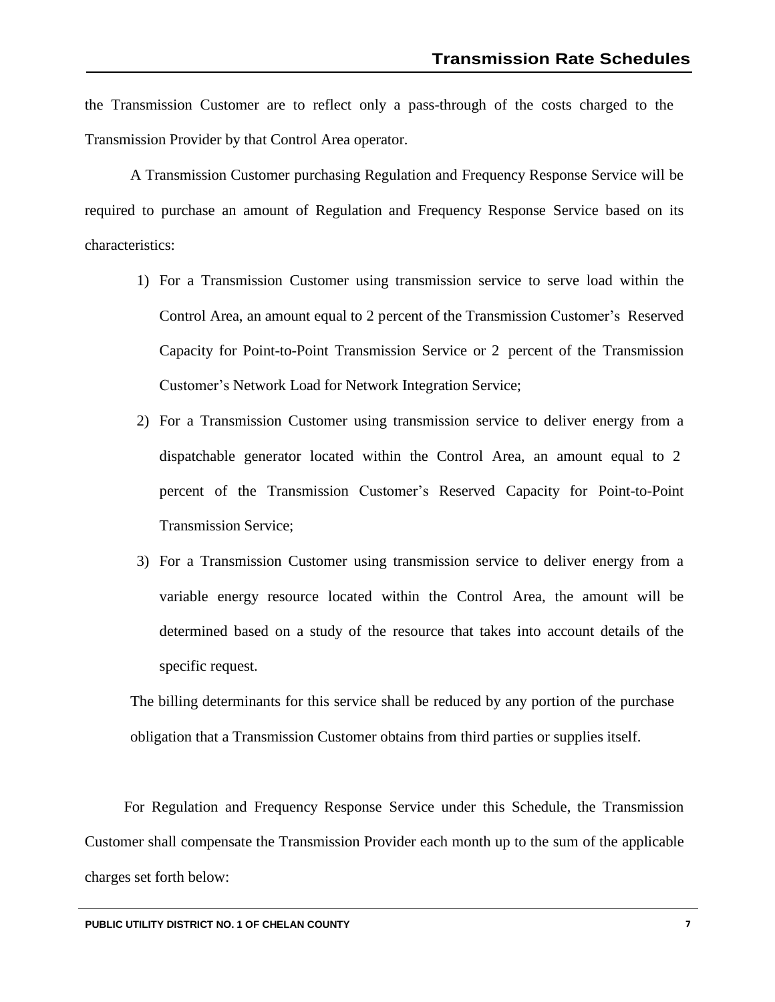the Transmission Customer are to reflect only a pass-through of the costs charged to the Transmission Provider by that Control Area operator.

A Transmission Customer purchasing Regulation and Frequency Response Service will be required to purchase an amount of Regulation and Frequency Response Service based on its characteristics:

- 1) For a Transmission Customer using transmission service to serve load within the Control Area, an amount equal to 2 percent of the Transmission Customer's Reserved Capacity for Point-to-Point Transmission Service or 2 percent of the Transmission Customer's Network Load for Network Integration Service;
- 2) For a Transmission Customer using transmission service to deliver energy from a dispatchable generator located within the Control Area, an amount equal to 2 percent of the Transmission Customer's Reserved Capacity for Point-to-Point Transmission Service;
- 3) For a Transmission Customer using transmission service to deliver energy from a variable energy resource located within the Control Area, the amount will be determined based on a study of the resource that takes into account details of the specific request.

The billing determinants for this service shall be reduced by any portion of the purchase obligation that a Transmission Customer obtains from third parties or supplies itself.

For Regulation and Frequency Response Service under this Schedule, the Transmission Customer shall compensate the Transmission Provider each month up to the sum of the applicable charges set forth below: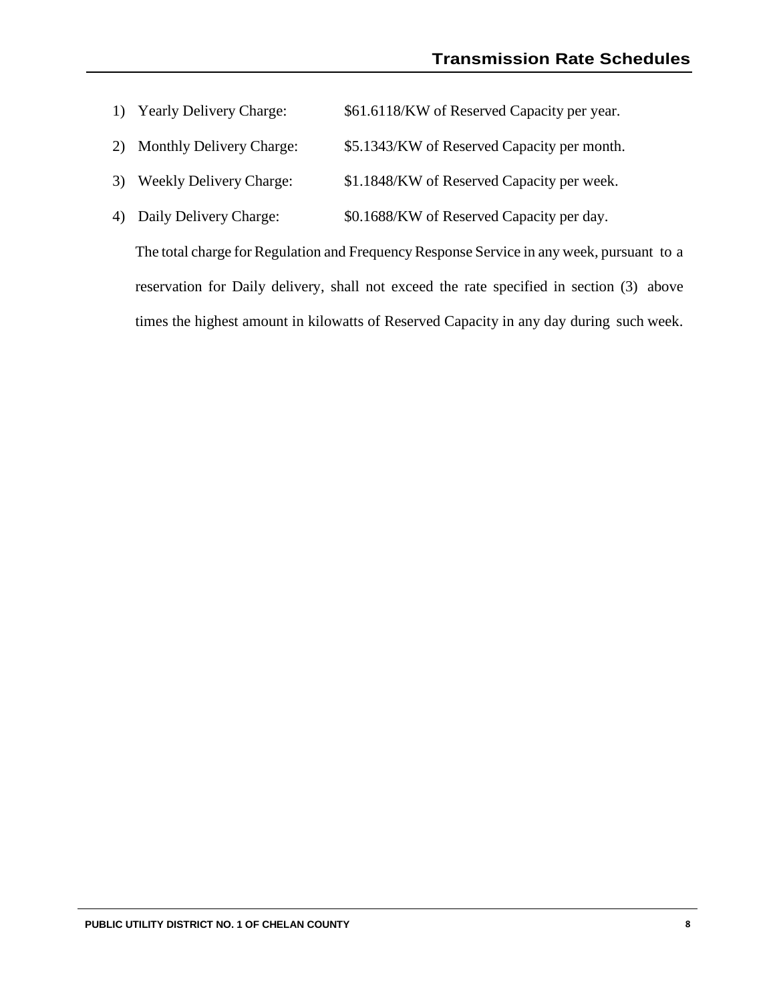- 1) Yearly Delivery Charge: \$61.6118/KW of Reserved Capacity per year.
- 2) Monthly Delivery Charge: \$5.1343/KW of Reserved Capacity per month.
- 3) Weekly Delivery Charge: \$1.1848/KW of Reserved Capacity per week.
- 4) Daily Delivery Charge: \$0.1688/KW of Reserved Capacity per day.

The total charge for Regulation and Frequency Response Service in any week, pursuant to a reservation for Daily delivery, shall not exceed the rate specified in section (3) above times the highest amount in kilowatts of Reserved Capacity in any day during such week.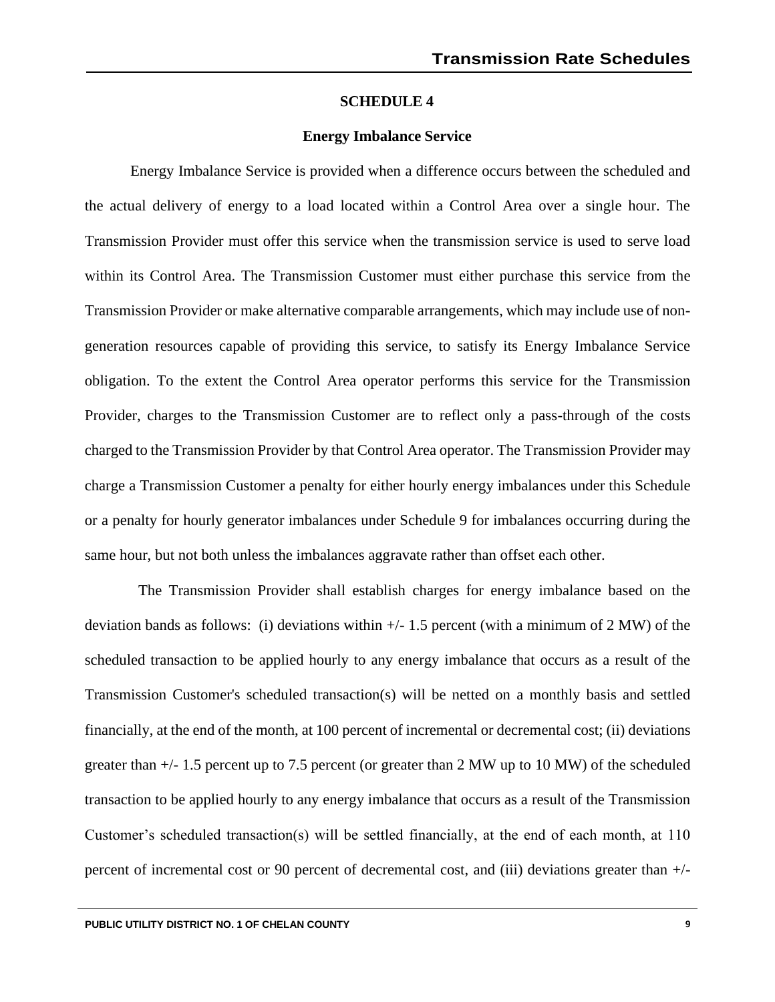#### **Energy Imbalance Service**

Energy Imbalance Service is provided when a difference occurs between the scheduled and the actual delivery of energy to a load located within a Control Area over a single hour. The Transmission Provider must offer this service when the transmission service is used to serve load within its Control Area. The Transmission Customer must either purchase this service from the Transmission Provider or make alternative comparable arrangements, which may include use of nongeneration resources capable of providing this service, to satisfy its Energy Imbalance Service obligation. To the extent the Control Area operator performs this service for the Transmission Provider, charges to the Transmission Customer are to reflect only a pass-through of the costs charged to the Transmission Provider by that Control Area operator. The Transmission Provider may charge a Transmission Customer a penalty for either hourly energy imbalances under this Schedule or a penalty for hourly generator imbalances under Schedule 9 for imbalances occurring during the same hour, but not both unless the imbalances aggravate rather than offset each other.

The Transmission Provider shall establish charges for energy imbalance based on the deviation bands as follows: (i) deviations within +/- 1.5 percent (with a minimum of 2 MW) of the scheduled transaction to be applied hourly to any energy imbalance that occurs as a result of the Transmission Customer's scheduled transaction(s) will be netted on a monthly basis and settled financially, at the end of the month, at 100 percent of incremental or decremental cost; (ii) deviations greater than +/- 1.5 percent up to 7.5 percent (or greater than 2 MW up to 10 MW) of the scheduled transaction to be applied hourly to any energy imbalance that occurs as a result of the Transmission Customer's scheduled transaction(s) will be settled financially, at the end of each month, at 110 percent of incremental cost or 90 percent of decremental cost, and (iii) deviations greater than +/-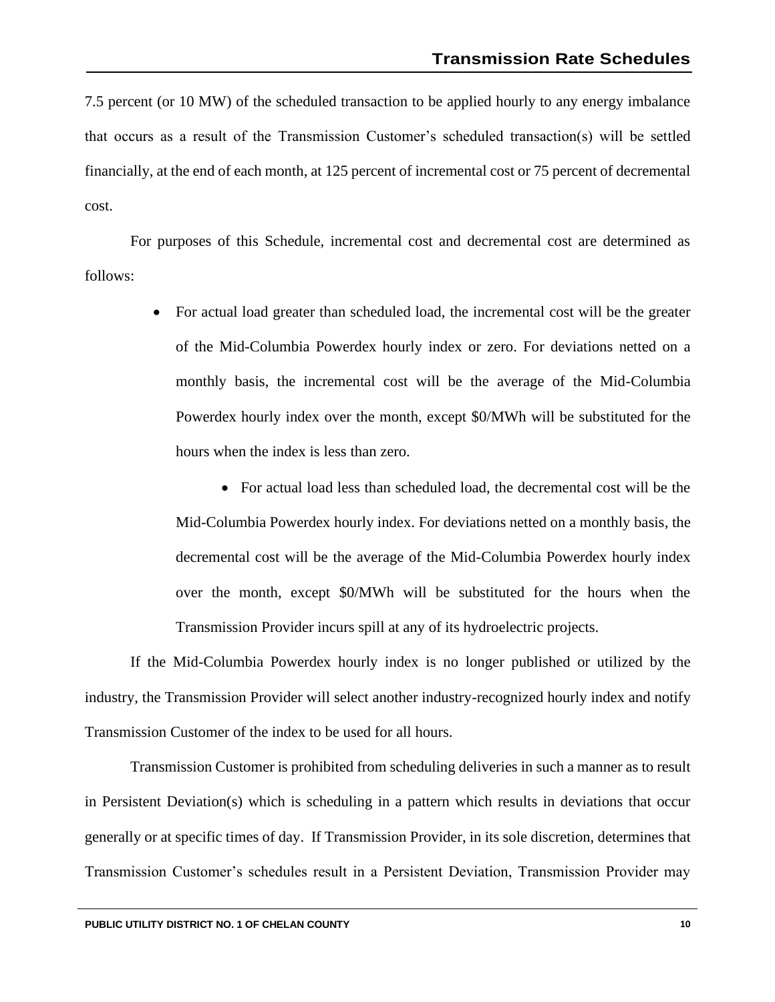7.5 percent (or 10 MW) of the scheduled transaction to be applied hourly to any energy imbalance that occurs as a result of the Transmission Customer's scheduled transaction(s) will be settled financially, at the end of each month, at 125 percent of incremental cost or 75 percent of decremental cost.

For purposes of this Schedule, incremental cost and decremental cost are determined as follows:

> • For actual load greater than scheduled load, the incremental cost will be the greater of the Mid-Columbia Powerdex hourly index or zero. For deviations netted on a monthly basis, the incremental cost will be the average of the Mid-Columbia Powerdex hourly index over the month, except \$0/MWh will be substituted for the hours when the index is less than zero.

• For actual load less than scheduled load, the decremental cost will be the Mid-Columbia Powerdex hourly index. For deviations netted on a monthly basis, the decremental cost will be the average of the Mid-Columbia Powerdex hourly index over the month, except \$0/MWh will be substituted for the hours when the Transmission Provider incurs spill at any of its hydroelectric projects.

If the Mid-Columbia Powerdex hourly index is no longer published or utilized by the industry, the Transmission Provider will select another industry-recognized hourly index and notify Transmission Customer of the index to be used for all hours.

Transmission Customer is prohibited from scheduling deliveries in such a manner as to result in Persistent Deviation(s) which is scheduling in a pattern which results in deviations that occur generally or at specific times of day. If Transmission Provider, in its sole discretion, determines that Transmission Customer's schedules result in a Persistent Deviation, Transmission Provider may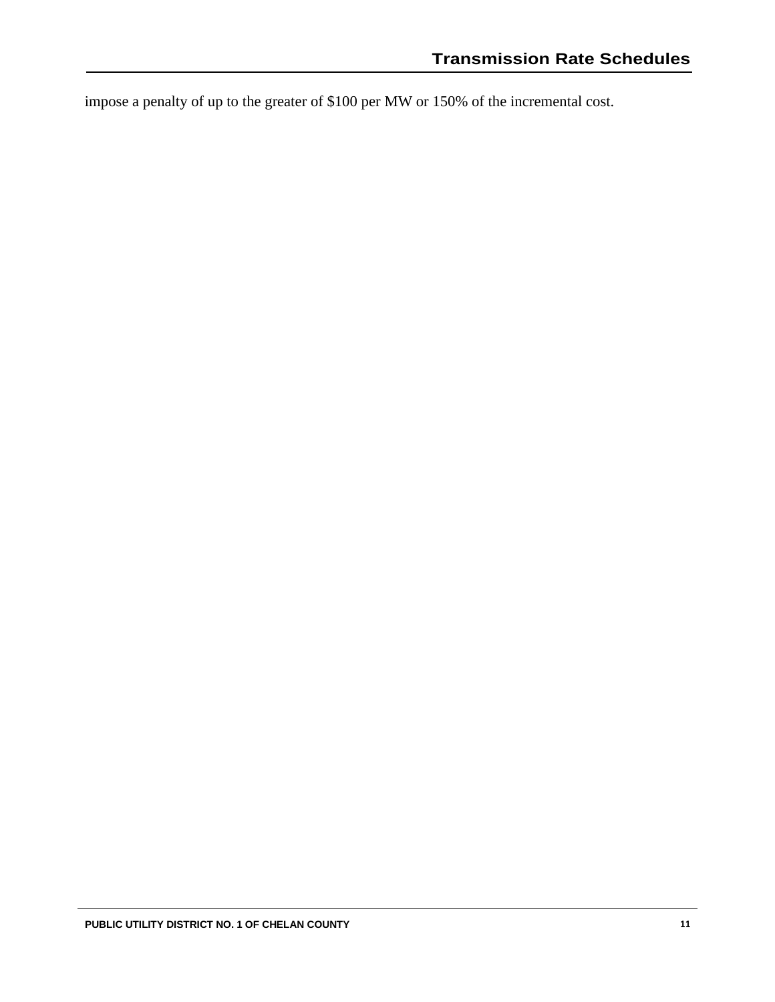impose a penalty of up to the greater of \$100 per MW or 150% of the incremental cost.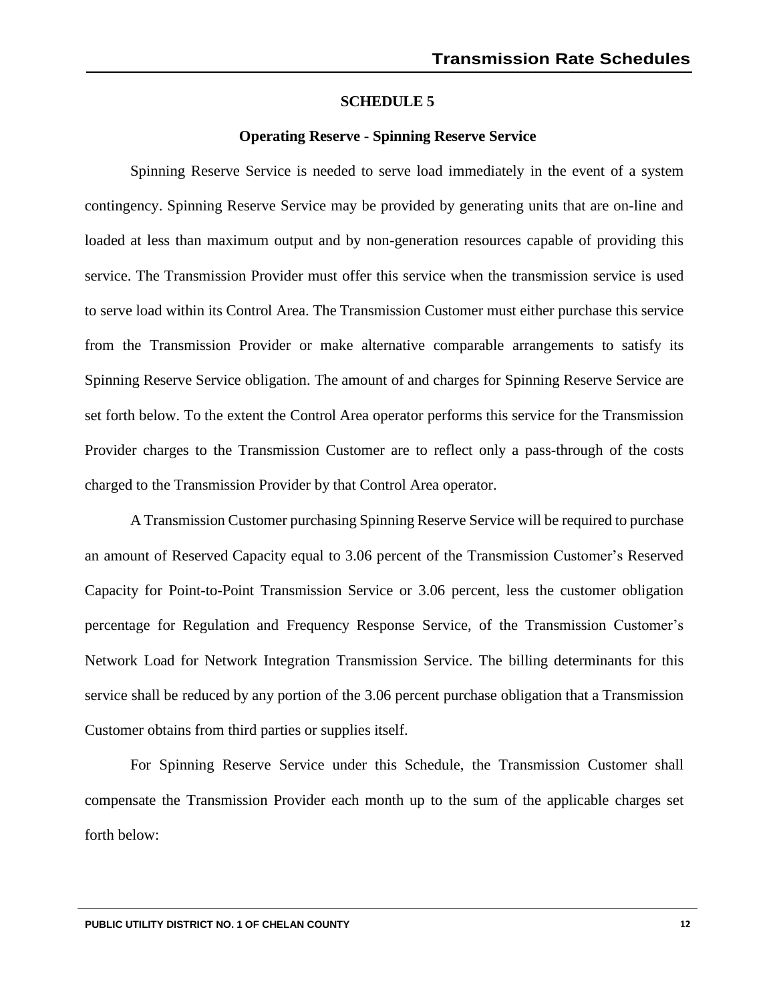#### **Operating Reserve - Spinning Reserve Service**

Spinning Reserve Service is needed to serve load immediately in the event of a system contingency. Spinning Reserve Service may be provided by generating units that are on-line and loaded at less than maximum output and by non-generation resources capable of providing this service. The Transmission Provider must offer this service when the transmission service is used to serve load within its Control Area. The Transmission Customer must either purchase this service from the Transmission Provider or make alternative comparable arrangements to satisfy its Spinning Reserve Service obligation. The amount of and charges for Spinning Reserve Service are set forth below. To the extent the Control Area operator performs this service for the Transmission Provider charges to the Transmission Customer are to reflect only a pass-through of the costs charged to the Transmission Provider by that Control Area operator.

A Transmission Customer purchasing Spinning Reserve Service will be required to purchase an amount of Reserved Capacity equal to 3.06 percent of the Transmission Customer's Reserved Capacity for Point-to-Point Transmission Service or 3.06 percent, less the customer obligation percentage for Regulation and Frequency Response Service, of the Transmission Customer's Network Load for Network Integration Transmission Service. The billing determinants for this service shall be reduced by any portion of the 3.06 percent purchase obligation that a Transmission Customer obtains from third parties or supplies itself.

For Spinning Reserve Service under this Schedule, the Transmission Customer shall compensate the Transmission Provider each month up to the sum of the applicable charges set forth below: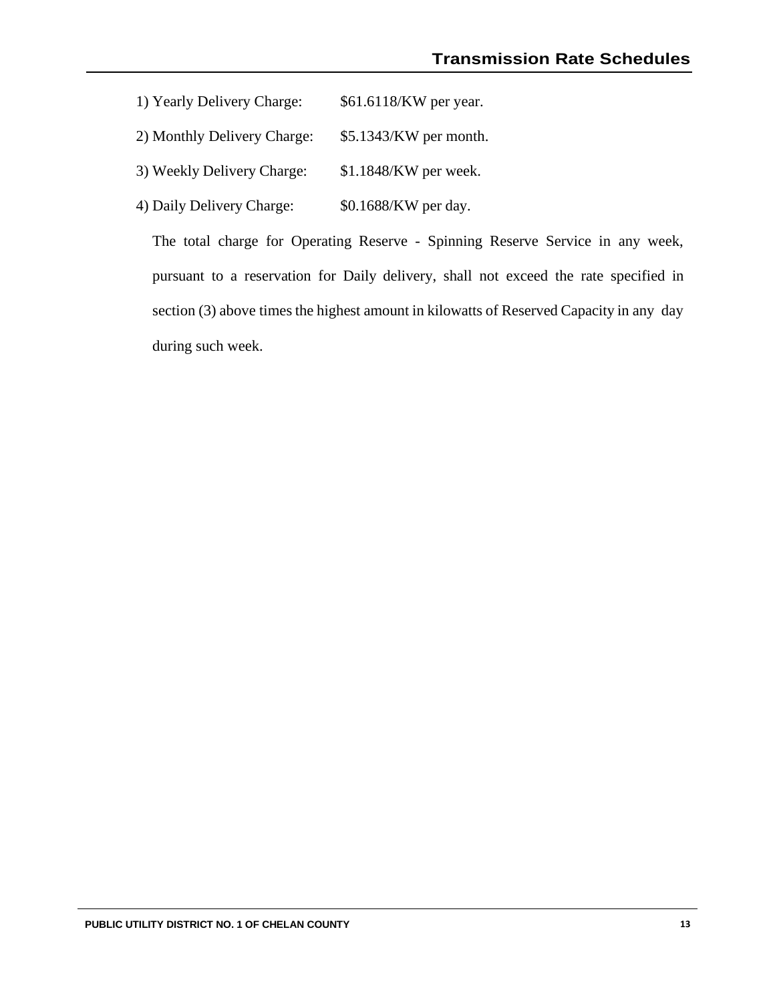- 1) Yearly Delivery Charge: \$61.6118/KW per year.
- 2) Monthly Delivery Charge: \$5.1343/KW per month.
- 3) Weekly Delivery Charge: \$1.1848/KW per week.
- 4) Daily Delivery Charge: \$0.1688/KW per day.

The total charge for Operating Reserve - Spinning Reserve Service in any week, pursuant to a reservation for Daily delivery, shall not exceed the rate specified in section (3) above times the highest amount in kilowatts of Reserved Capacity in any day during such week.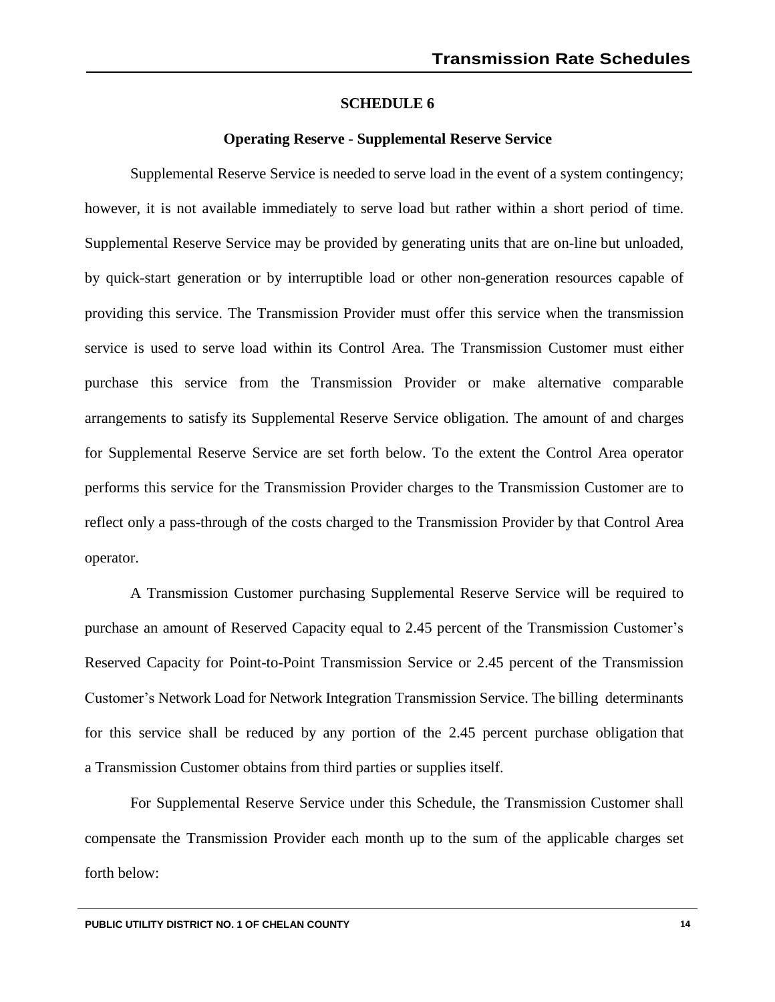#### **Operating Reserve - Supplemental Reserve Service**

Supplemental Reserve Service is needed to serve load in the event of a system contingency; however, it is not available immediately to serve load but rather within a short period of time. Supplemental Reserve Service may be provided by generating units that are on-line but unloaded, by quick-start generation or by interruptible load or other non-generation resources capable of providing this service. The Transmission Provider must offer this service when the transmission service is used to serve load within its Control Area. The Transmission Customer must either purchase this service from the Transmission Provider or make alternative comparable arrangements to satisfy its Supplemental Reserve Service obligation. The amount of and charges for Supplemental Reserve Service are set forth below. To the extent the Control Area operator performs this service for the Transmission Provider charges to the Transmission Customer are to reflect only a pass-through of the costs charged to the Transmission Provider by that Control Area operator.

A Transmission Customer purchasing Supplemental Reserve Service will be required to purchase an amount of Reserved Capacity equal to 2.45 percent of the Transmission Customer's Reserved Capacity for Point-to-Point Transmission Service or 2.45 percent of the Transmission Customer's Network Load for Network Integration Transmission Service. The billing determinants for this service shall be reduced by any portion of the 2.45 percent purchase obligation that a Transmission Customer obtains from third parties or supplies itself.

For Supplemental Reserve Service under this Schedule, the Transmission Customer shall compensate the Transmission Provider each month up to the sum of the applicable charges set forth below: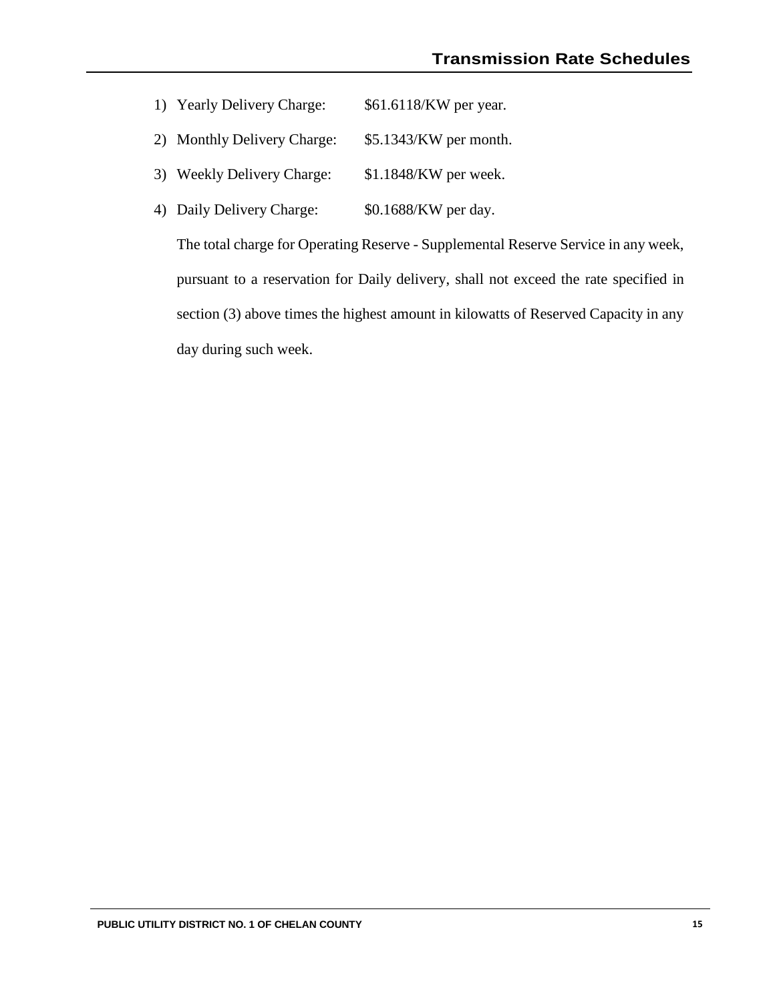- 1) Yearly Delivery Charge: \$61.6118/KW per year.
- 2) Monthly Delivery Charge: \$5.1343/KW per month.
- 3) Weekly Delivery Charge: \$1.1848/KW per week.
- 4) Daily Delivery Charge: \$0.1688/KW per day.

The total charge for Operating Reserve - Supplemental Reserve Service in any week, pursuant to a reservation for Daily delivery, shall not exceed the rate specified in section (3) above times the highest amount in kilowatts of Reserved Capacity in any day during such week.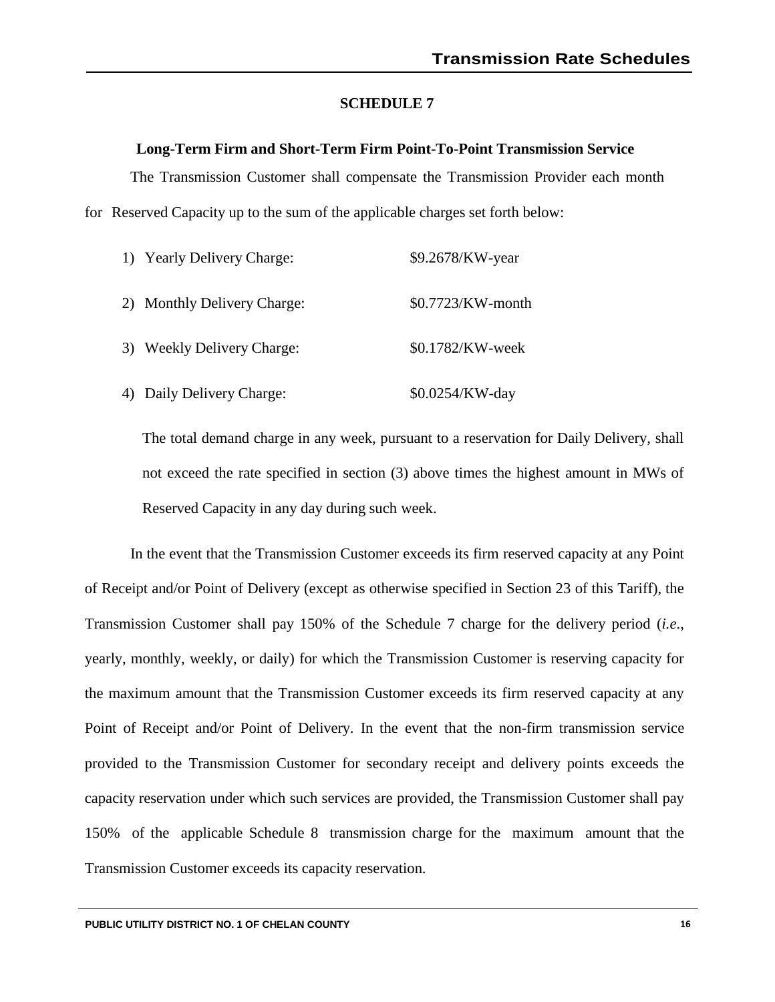## **Long-Term Firm and Short-Term Firm Point-To-Point Transmission Service**

The Transmission Customer shall compensate the Transmission Provider each month for Reserved Capacity up to the sum of the applicable charges set forth below:

| 1) Yearly Delivery Charge:  | \$9.2678/KW-year  |
|-----------------------------|-------------------|
| 2) Monthly Delivery Charge: | \$0.7723/KW-month |
| 3) Weekly Delivery Charge:  | \$0.1782/KW-week  |
| Daily Delivery Charge:      | \$0.0254/KW-day   |

The total demand charge in any week, pursuant to a reservation for Daily Delivery, shall not exceed the rate specified in section (3) above times the highest amount in MWs of Reserved Capacity in any day during such week.

In the event that the Transmission Customer exceeds its firm reserved capacity at any Point of Receipt and/or Point of Delivery (except as otherwise specified in Section 23 of this Tariff), the Transmission Customer shall pay 150% of the Schedule 7 charge for the delivery period (*i.e*., yearly, monthly, weekly, or daily) for which the Transmission Customer is reserving capacity for the maximum amount that the Transmission Customer exceeds its firm reserved capacity at any Point of Receipt and/or Point of Delivery. In the event that the non-firm transmission service provided to the Transmission Customer for secondary receipt and delivery points exceeds the capacity reservation under which such services are provided, the Transmission Customer shall pay 150% of the applicable Schedule 8 transmission charge for the maximum amount that the Transmission Customer exceeds its capacity reservation.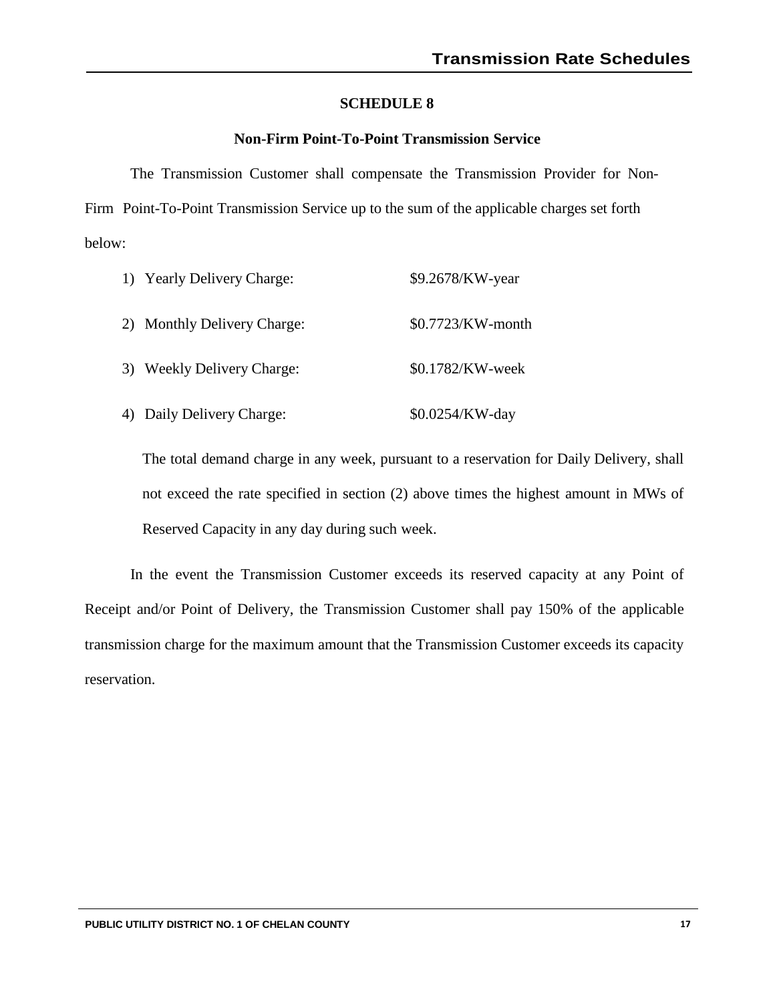# **Non-Firm Point-To-Point Transmission Service**

The Transmission Customer shall compensate the Transmission Provider for Non-Firm Point-To-Point Transmission Service up to the sum of the applicable charges set forth below:

| 1) Yearly Delivery Charge:  | \$9.2678/KW-year  |
|-----------------------------|-------------------|
| 2) Monthly Delivery Charge: | \$0.7723/KW-month |
| 3) Weekly Delivery Charge:  | \$0.1782/KW-week  |
| Daily Delivery Charge:      | \$0.0254/KW-day   |

The total demand charge in any week, pursuant to a reservation for Daily Delivery, shall not exceed the rate specified in section (2) above times the highest amount in MWs of Reserved Capacity in any day during such week.

In the event the Transmission Customer exceeds its reserved capacity at any Point of Receipt and/or Point of Delivery, the Transmission Customer shall pay 150% of the applicable transmission charge for the maximum amount that the Transmission Customer exceeds its capacity reservation.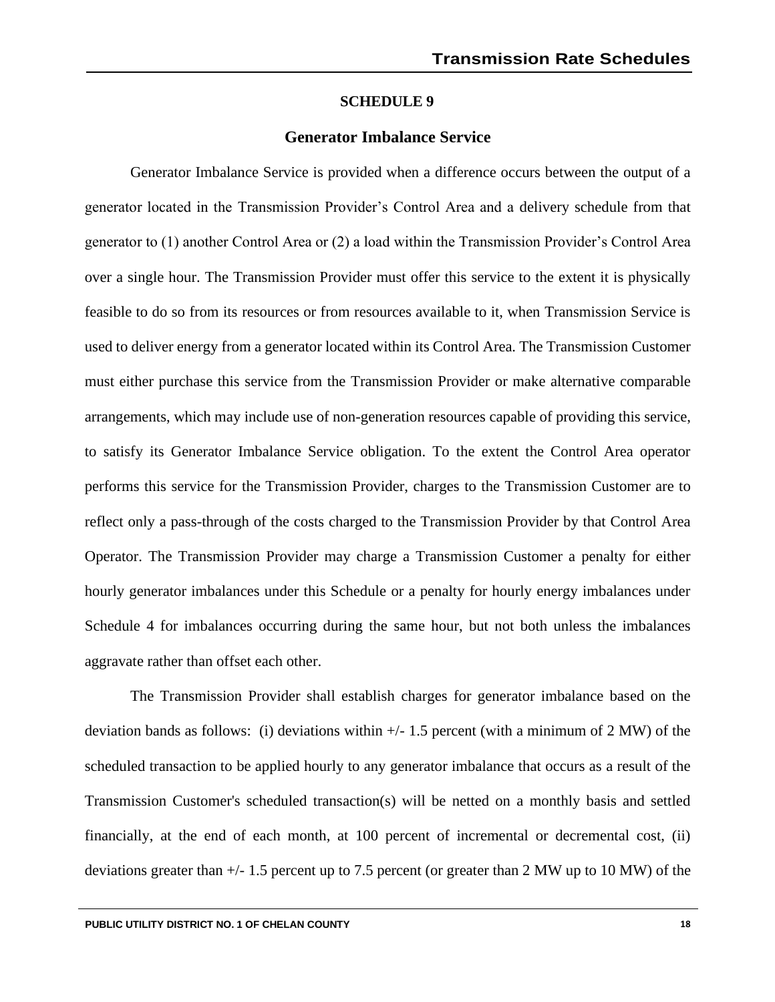#### **Generator Imbalance Service**

Generator Imbalance Service is provided when a difference occurs between the output of a generator located in the Transmission Provider's Control Area and a delivery schedule from that generator to (1) another Control Area or (2) a load within the Transmission Provider's Control Area over a single hour. The Transmission Provider must offer this service to the extent it is physically feasible to do so from its resources or from resources available to it, when Transmission Service is used to deliver energy from a generator located within its Control Area. The Transmission Customer must either purchase this service from the Transmission Provider or make alternative comparable arrangements, which may include use of non-generation resources capable of providing this service, to satisfy its Generator Imbalance Service obligation. To the extent the Control Area operator performs this service for the Transmission Provider, charges to the Transmission Customer are to reflect only a pass-through of the costs charged to the Transmission Provider by that Control Area Operator. The Transmission Provider may charge a Transmission Customer a penalty for either hourly generator imbalances under this Schedule or a penalty for hourly energy imbalances under Schedule 4 for imbalances occurring during the same hour, but not both unless the imbalances aggravate rather than offset each other.

The Transmission Provider shall establish charges for generator imbalance based on the deviation bands as follows: (i) deviations within +/- 1.5 percent (with a minimum of 2 MW) of the scheduled transaction to be applied hourly to any generator imbalance that occurs as a result of the Transmission Customer's scheduled transaction(s) will be netted on a monthly basis and settled financially, at the end of each month, at 100 percent of incremental or decremental cost, (ii) deviations greater than +/- 1.5 percent up to 7.5 percent (or greater than 2 MW up to 10 MW) of the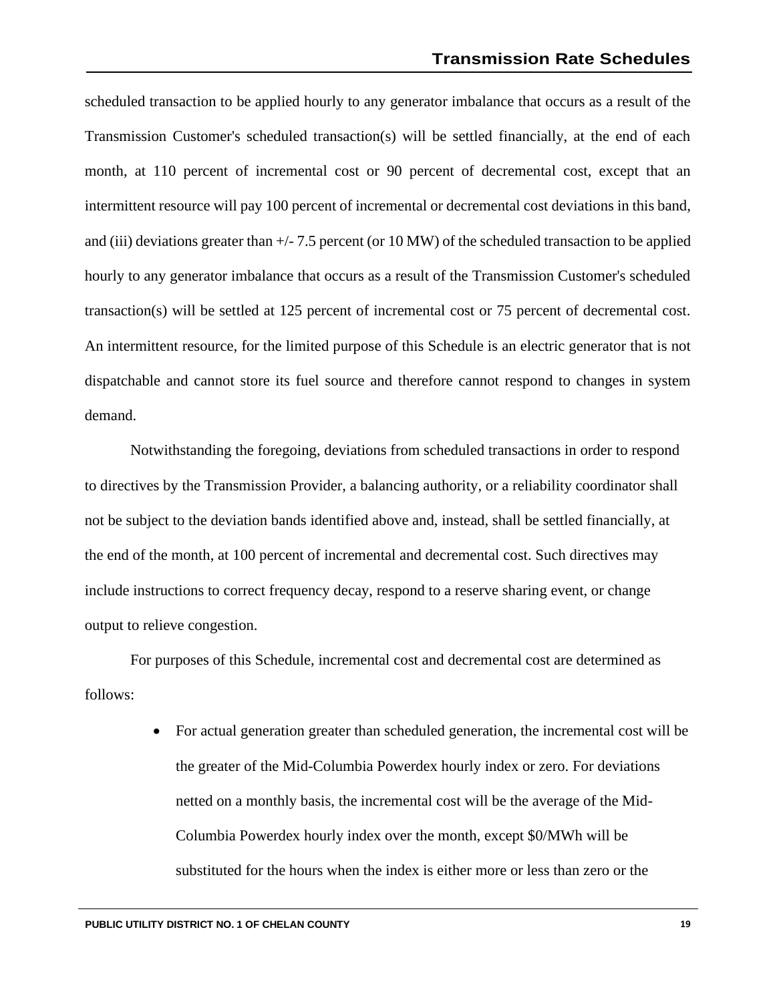scheduled transaction to be applied hourly to any generator imbalance that occurs as a result of the Transmission Customer's scheduled transaction(s) will be settled financially, at the end of each month, at 110 percent of incremental cost or 90 percent of decremental cost, except that an intermittent resource will pay 100 percent of incremental or decremental cost deviations in this band, and (iii) deviations greater than  $+/-7.5$  percent (or 10 MW) of the scheduled transaction to be applied hourly to any generator imbalance that occurs as a result of the Transmission Customer's scheduled transaction(s) will be settled at 125 percent of incremental cost or 75 percent of decremental cost. An intermittent resource, for the limited purpose of this Schedule is an electric generator that is not dispatchable and cannot store its fuel source and therefore cannot respond to changes in system demand.

Notwithstanding the foregoing, deviations from scheduled transactions in order to respond to directives by the Transmission Provider, a balancing authority, or a reliability coordinator shall not be subject to the deviation bands identified above and, instead, shall be settled financially, at the end of the month, at 100 percent of incremental and decremental cost. Such directives may include instructions to correct frequency decay, respond to a reserve sharing event, or change output to relieve congestion.

For purposes of this Schedule, incremental cost and decremental cost are determined as follows:

> • For actual generation greater than scheduled generation, the incremental cost will be the greater of the Mid-Columbia Powerdex hourly index or zero. For deviations netted on a monthly basis, the incremental cost will be the average of the Mid-Columbia Powerdex hourly index over the month, except \$0/MWh will be substituted for the hours when the index is either more or less than zero or the